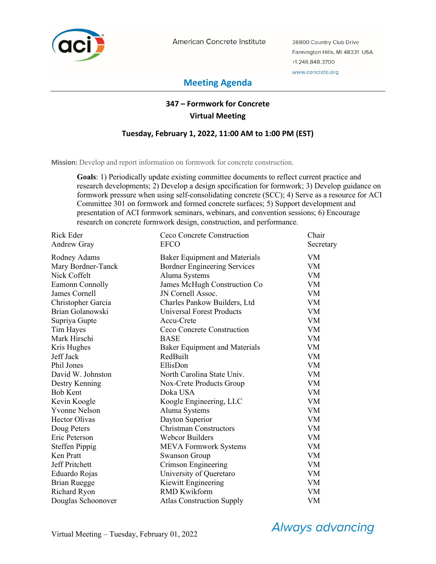

American Concrete Institute

38800 Country Club Drive Farmington Hills, MI 48331 USA +1.248.848.3700 www.concrete.org

# **Meeting Agenda**

# **347 – Formwork for Concrete Virtual Meeting**

## **Tuesday, February 1, 2022, 11:00 AM to 1:00 PM (EST)**

**Mission:** Develop and report information on formwork for concrete construction.

**Goals**: 1) Periodically update existing committee documents to reflect current practice and research developments; 2) Develop a design specification for formwork; 3) Develop guidance on formwork pressure when using self-consolidating concrete (SCC); 4) Serve as a resource for ACI Committee 301 on formwork and formed concrete surfaces; 5) Support development and presentation of ACI formwork seminars, webinars, and convention sessions; 6) Encourage research on concrete formwork design, construction, and performance.

| Rick Eder             | Ceco Concrete Construction          | Chair     |
|-----------------------|-------------------------------------|-----------|
| Andrew Gray           | <b>EFCO</b>                         | Secretary |
| Rodney Adams          | Baker Equipment and Materials       | VM        |
| Mary Bordner-Tanck    | <b>Bordner Engineering Services</b> | <b>VM</b> |
| Nick Coffelt          | Aluma Systems                       | <b>VM</b> |
| Eamonn Connolly       | James McHugh Construction Co        | <b>VM</b> |
| James Cornell         | JN Cornell Assoc.                   | <b>VM</b> |
| Christopher Garcia    | Charles Pankow Builders, Ltd        | <b>VM</b> |
| Brian Golanowski      | Universal Forest Products           | <b>VM</b> |
| Supriya Gupte         | Accu-Crete                          | <b>VM</b> |
| Tim Hayes             | Ceco Concrete Construction          | <b>VM</b> |
| Mark Hirschi          | <b>BASE</b>                         | <b>VM</b> |
| Kris Hughes           | Baker Equipment and Materials       | VM        |
| Jeff Jack             | RedBuilt                            | <b>VM</b> |
| Phil Jones            | EllisDon                            | <b>VM</b> |
| David W. Johnston     | North Carolina State Univ.          | <b>VM</b> |
| Destry Kenning        | Nox-Crete Products Group            | VM        |
| <b>Bob Kent</b>       | Doka USA                            | <b>VM</b> |
| Kevin Koogle          | Koogle Engineering, LLC             | <b>VM</b> |
| <b>Yvonne Nelson</b>  | Aluma Systems                       | <b>VM</b> |
| Hector Olivas         | Dayton Superior                     | VM        |
| Doug Peters           | <b>Christman Constructors</b>       | <b>VM</b> |
| Eric Peterson         | <b>Webcor Builders</b>              | <b>VM</b> |
| <b>Steffen Pippig</b> | <b>MEVA Formwork Systems</b>        | VM        |
| Ken Pratt             | <b>Swanson Group</b>                | <b>VM</b> |
| Jeff Pritchett        | Crimson Engineering                 | <b>VM</b> |
| Eduardo Rojas         | University of Queretaro             | VM        |
| <b>Brian Ruegge</b>   | Kiewitt Engineering                 | <b>VM</b> |
| Richard Ryon          | <b>RMD Kwikform</b>                 | VM        |
| Douglas Schoonover    | <b>Atlas Construction Supply</b>    | VM        |

**Always advancing**